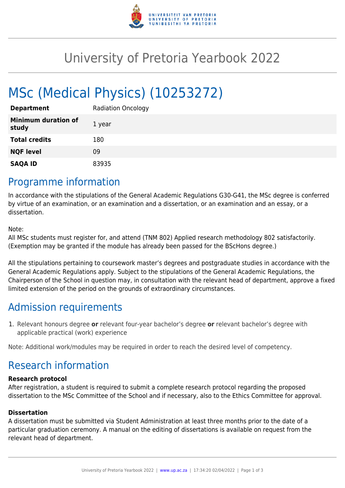

## University of Pretoria Yearbook 2022

# MSc (Medical Physics) (10253272)

| <b>Department</b>                   | <b>Radiation Oncology</b> |
|-------------------------------------|---------------------------|
| <b>Minimum duration of</b><br>study | 1 year                    |
| <b>Total credits</b>                | 180                       |
| <b>NQF level</b>                    | 09                        |
| <b>SAQA ID</b>                      | 83935                     |

### Programme information

In accordance with the stipulations of the General Academic Regulations G30-G41, the MSc degree is conferred by virtue of an examination, or an examination and a dissertation, or an examination and an essay, or a dissertation.

Note:

All MSc students must register for, and attend (TNM 802) Applied research methodology 802 satisfactorily. (Exemption may be granted if the module has already been passed for the BScHons degree.)

All the stipulations pertaining to coursework master's degrees and postgraduate studies in accordance with the General Academic Regulations apply. Subject to the stipulations of the General Academic Regulations, the Chairperson of the School in question may, in consultation with the relevant head of department, approve a fixed limited extension of the period on the grounds of extraordinary circumstances.

### Admission requirements

1. Relevant honours degree **or** relevant four-year bachelor's degree **or** relevant bachelor's degree with applicable practical (work) experience

Note: Additional work/modules may be required in order to reach the desired level of competency.

### Research information

#### **Research protocol**

After registration, a student is required to submit a complete research protocol regarding the proposed dissertation to the MSc Committee of the School and if necessary, also to the Ethics Committee for approval.

#### **Dissertation**

A dissertation must be submitted via Student Administration at least three months prior to the date of a particular graduation ceremony. A manual on the editing of dissertations is available on request from the relevant head of department.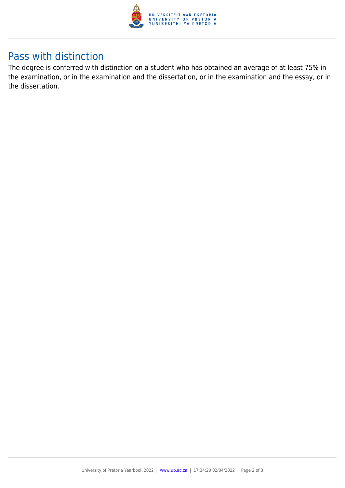

### Pass with distinction

The degree is conferred with distinction on a student who has obtained an average of at least 75% in the examination, or in the examination and the dissertation, or in the examination and the essay, or in the dissertation.